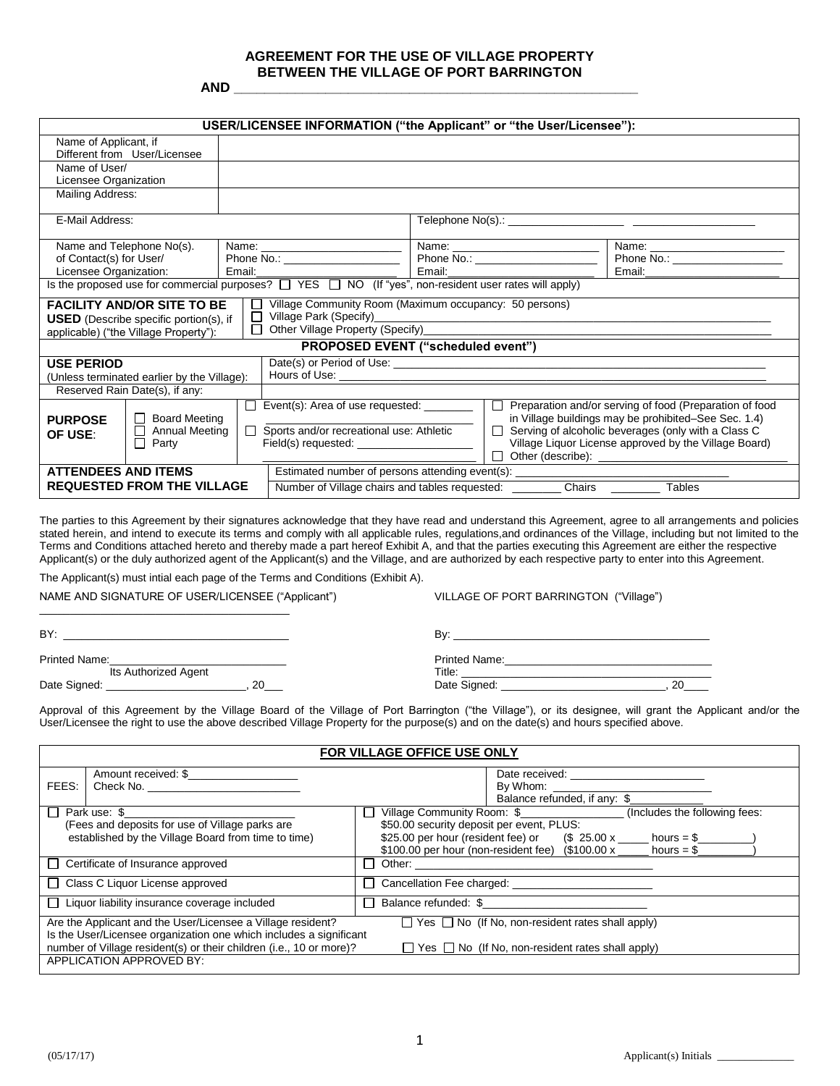# **AGREEMENT FOR THE USE OF VILLAGE PROPERTY BETWEEN THE VILLAGE OF PORT BARRINGTON**

**AND \_\_\_\_\_\_\_\_\_\_\_\_\_\_\_\_\_\_\_\_\_\_\_\_\_\_\_\_\_\_\_\_\_\_\_\_\_\_\_\_\_\_\_\_\_\_\_\_\_\_\_\_\_**

| USER/LICENSEE INFORMATION ("the Applicant" or "the User/Licensee"):                                                                                                                                                                                      |                                                                    |                                   |                                                                                                                                                                                                                                                                                                                                                                                                                                                                                                                                                                                   |  |  |                                  |  |
|----------------------------------------------------------------------------------------------------------------------------------------------------------------------------------------------------------------------------------------------------------|--------------------------------------------------------------------|-----------------------------------|-----------------------------------------------------------------------------------------------------------------------------------------------------------------------------------------------------------------------------------------------------------------------------------------------------------------------------------------------------------------------------------------------------------------------------------------------------------------------------------------------------------------------------------------------------------------------------------|--|--|----------------------------------|--|
| Name of Applicant, if<br>Different from User/Licensee                                                                                                                                                                                                    |                                                                    |                                   |                                                                                                                                                                                                                                                                                                                                                                                                                                                                                                                                                                                   |  |  |                                  |  |
| Name of User/<br>Licensee Organization                                                                                                                                                                                                                   |                                                                    |                                   |                                                                                                                                                                                                                                                                                                                                                                                                                                                                                                                                                                                   |  |  |                                  |  |
| Mailing Address:                                                                                                                                                                                                                                         |                                                                    |                                   |                                                                                                                                                                                                                                                                                                                                                                                                                                                                                                                                                                                   |  |  |                                  |  |
| E-Mail Address:                                                                                                                                                                                                                                          |                                                                    |                                   |                                                                                                                                                                                                                                                                                                                                                                                                                                                                                                                                                                                   |  |  |                                  |  |
| Name and Telephone No(s).                                                                                                                                                                                                                                |                                                                    |                                   |                                                                                                                                                                                                                                                                                                                                                                                                                                                                                                                                                                                   |  |  |                                  |  |
| of Contact(s) for User/                                                                                                                                                                                                                                  |                                                                    | Phone No.: ______________________ | Phone No.: ____________________                                                                                                                                                                                                                                                                                                                                                                                                                                                                                                                                                   |  |  | Phone No.: _____________________ |  |
| Licensee Organization:                                                                                                                                                                                                                                   | Email:                                                             |                                   |                                                                                                                                                                                                                                                                                                                                                                                                                                                                                                                                                                                   |  |  |                                  |  |
| Is the proposed use for commercial purposes? $\Box$ YES $\Box$ NO (If "yes", non-resident user rates will apply)                                                                                                                                         |                                                                    |                                   |                                                                                                                                                                                                                                                                                                                                                                                                                                                                                                                                                                                   |  |  |                                  |  |
| Village Community Room (Maximum occupancy: 50 persons)<br><b>FACILITY AND/OR SITE TO BE</b><br>Village Park (Specify)<br>П<br><b>USED</b> (Describe specific portion(s), if<br>Other Village Property (Specify)<br>applicable) ("the Village Property"): |                                                                    |                                   |                                                                                                                                                                                                                                                                                                                                                                                                                                                                                                                                                                                   |  |  |                                  |  |
| PROPOSED EVENT ("scheduled event")                                                                                                                                                                                                                       |                                                                    |                                   |                                                                                                                                                                                                                                                                                                                                                                                                                                                                                                                                                                                   |  |  |                                  |  |
| <b>USE PERIOD</b>                                                                                                                                                                                                                                        |                                                                    |                                   |                                                                                                                                                                                                                                                                                                                                                                                                                                                                                                                                                                                   |  |  |                                  |  |
| (Unless terminated earlier by the Village):                                                                                                                                                                                                              |                                                                    |                                   |                                                                                                                                                                                                                                                                                                                                                                                                                                                                                                                                                                                   |  |  |                                  |  |
| Reserved Rain Date(s), if any:                                                                                                                                                                                                                           |                                                                    |                                   |                                                                                                                                                                                                                                                                                                                                                                                                                                                                                                                                                                                   |  |  |                                  |  |
| $\Box$ Board Meeting<br><b>PURPOSE</b><br><b>Annual Meeting</b><br>OF USE:<br>$\Box$ Party                                                                                                                                                               | П                                                                  |                                   | $\Box$ Preparation and/or serving of food (Preparation of food<br>$\Box$ Event(s): Area of use requested: $\Box$<br>in Village buildings may be prohibited-See Sec. 1.4)<br>Sports and/or recreational use: Athletic<br>Serving of alcoholic beverages (only with a Class C<br>$\perp$<br>Village Liquor License approved by the Village Board)<br>Other (describe): National Assembly of the Change of the Change of the Change of the Change of the Change of the Change of the Change of the Change of the Change of the Change of the Change of the Change of the Change of t |  |  |                                  |  |
| <b>ATTENDEES AND ITEMS</b>                                                                                                                                                                                                                               | Estimated number of persons attending event(s): _____________      |                                   |                                                                                                                                                                                                                                                                                                                                                                                                                                                                                                                                                                                   |  |  |                                  |  |
| <b>REQUESTED FROM THE VILLAGE</b>                                                                                                                                                                                                                        | Chairs<br>Tables<br>Number of Village chairs and tables requested: |                                   |                                                                                                                                                                                                                                                                                                                                                                                                                                                                                                                                                                                   |  |  |                                  |  |

The parties to this Agreement by their signatures acknowledge that they have read and understand this Agreement, agree to all arrangements and policies stated herein, and intend to execute its terms and comply with all applicable rules, regulations,and ordinances of the Village, including but not limited to the Terms and Conditions attached hereto and thereby made a part hereof Exhibit A, and that the parties executing this Agreement are either the respective Applicant(s) or the duly authorized agent of the Applicant(s) and the Village, and are authorized by each respective party to enter into this Agreement.

The Applicant(s) must intial each page of the Terms and Conditions (Exhibit A).

NAME AND SIGNATURE OF USER/LICENSEE ("Applicant") VILLAGE OF PORT BARRINGTON ("Village")

| BY:                  | .<br>o۷                 |
|----------------------|-------------------------|
| <b>Printed Name:</b> | <b>Drintod</b><br>Name: |

\_\_\_\_\_\_\_\_\_\_\_\_\_\_\_\_\_\_\_\_\_\_\_\_\_\_\_\_\_\_\_\_\_\_\_\_\_\_\_\_\_

| Printed Name:        |           | <b>Printed Name:</b> |    |  |
|----------------------|-----------|----------------------|----|--|
| Its Authorized Agent |           | Title:               |    |  |
| Date Signed:         | ∩ר<br>- - | Date Signed:         | or |  |

Approval of this Agreement by the Village Board of the Village of Port Barrington ("the Village"), or its designee, will grant the Applicant and/or the User/Licensee the right to use the above described Village Property for the purpose(s) and on the date(s) and hours specified above.

| FOR VILLAGE OFFICE USE ONLY                                                                                                                                                                                                                                   |  |                                           |                                      |                                                 |                               |                                     |  |
|---------------------------------------------------------------------------------------------------------------------------------------------------------------------------------------------------------------------------------------------------------------|--|-------------------------------------------|--------------------------------------|-------------------------------------------------|-------------------------------|-------------------------------------|--|
| Amount received: \$<br>Check No. The contract of the contract of the contract of the contract of the contract of the contract of the contract of the contract of the contract of the contract of the contract of the contract of the contract of the<br>FEES: |  |                                           |                                      | Date received: ____________________<br>By Whom: |                               |                                     |  |
|                                                                                                                                                                                                                                                               |  |                                           |                                      | Balance refunded, if any: \$                    |                               |                                     |  |
| Park use: \$<br>$\mathsf{L}$                                                                                                                                                                                                                                  |  |                                           | Village Community Room: \$           |                                                 | (Includes the following fees: |                                     |  |
| (Fees and deposits for use of Village parks are                                                                                                                                                                                                               |  | \$50.00 security deposit per event, PLUS: |                                      |                                                 |                               |                                     |  |
| established by the Village Board from time to time)                                                                                                                                                                                                           |  |                                           | \$25.00 per hour (resident fee) or   |                                                 |                               | $($25.00 x \_ \text{hours} = $$     |  |
|                                                                                                                                                                                                                                                               |  |                                           | \$100.00 per hour (non-resident fee) |                                                 |                               | $($100.00 \times \text{ hours} = $$ |  |
| $\Box$ Certificate of Insurance approved                                                                                                                                                                                                                      |  |                                           | Other:                               |                                                 |                               |                                     |  |
| $\Box$ Class C Liquor License approved                                                                                                                                                                                                                        |  | Cancellation Fee charged:                 |                                      |                                                 |                               |                                     |  |
| $\Box$ Liquor liability insurance coverage included                                                                                                                                                                                                           |  | Balance refunded: \$                      |                                      |                                                 |                               |                                     |  |
| $\Box$ Yes $\Box$ No (If No, non-resident rates shall apply)<br>Are the Applicant and the User/Licensee a Village resident?                                                                                                                                   |  |                                           |                                      |                                                 |                               |                                     |  |
| Is the User/Licensee organization one which includes a significant                                                                                                                                                                                            |  |                                           |                                      |                                                 |                               |                                     |  |
| number of Village resident(s) or their children (i.e., 10 or more)?<br>$\Box$ Yes $\Box$ No (If No, non-resident rates shall apply)                                                                                                                           |  |                                           |                                      |                                                 |                               |                                     |  |
| <b>APPLICATION APPROVED BY:</b>                                                                                                                                                                                                                               |  |                                           |                                      |                                                 |                               |                                     |  |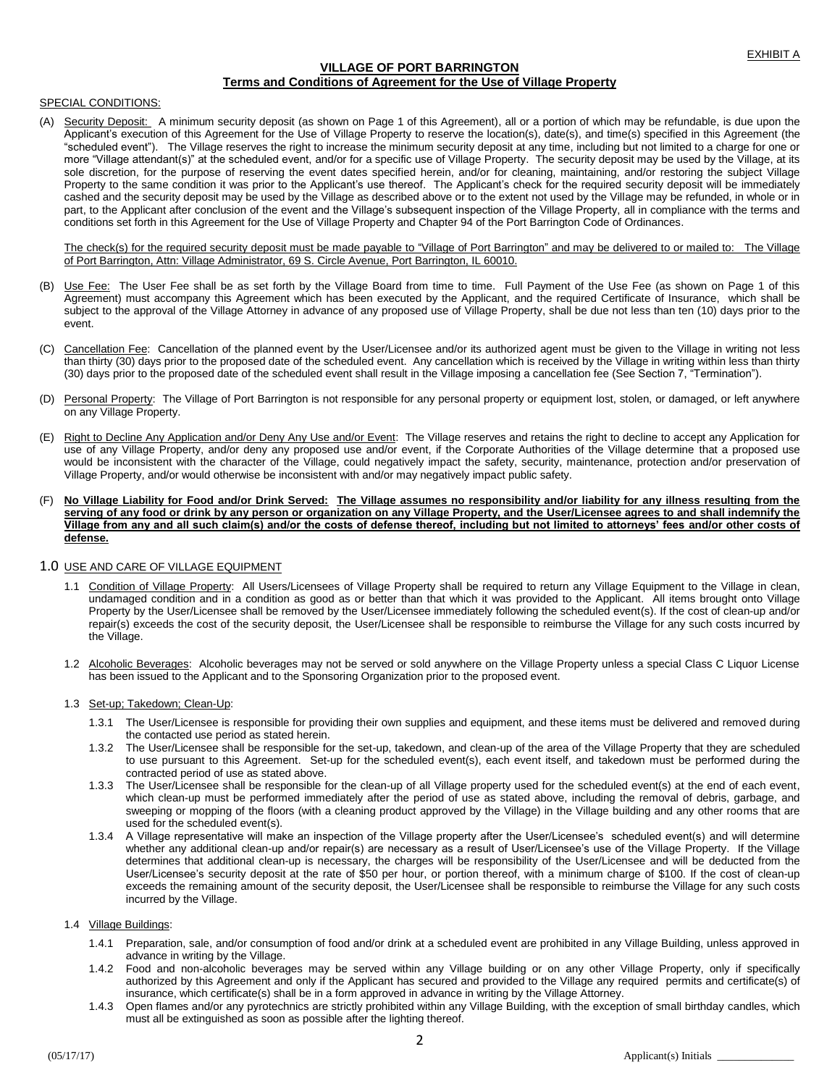# **VILLAGE OF PORT BARRINGTON Terms and Conditions of Agreement for the Use of Village Property**

## SPECIAL CONDITIONS:

(A) Security Deposit: A minimum security deposit (as shown on Page 1 of this Agreement), all or a portion of which may be refundable, is due upon the Applicant's execution of this Agreement for the Use of Village Property to reserve the location(s), date(s), and time(s) specified in this Agreement (the "scheduled event"). The Village reserves the right to increase the minimum security deposit at any time, including but not limited to a charge for one or more "Village attendant(s)" at the scheduled event, and/or for a specific use of Village Property. The security deposit may be used by the Village, at its sole discretion, for the purpose of reserving the event dates specified herein, and/or for cleaning, maintaining, and/or restoring the subject Village Property to the same condition it was prior to the Applicant's use thereof. The Applicant's check for the required security deposit will be immediately cashed and the security deposit may be used by the Village as described above or to the extent not used by the Village may be refunded, in whole or in part, to the Applicant after conclusion of the event and the Village's subsequent inspection of the Village Property, all in compliance with the terms and conditions set forth in this Agreement for the Use of Village Property and Chapter 94 of the Port Barrington Code of Ordinances.

The check(s) for the required security deposit must be made payable to "Village of Port Barrington" and may be delivered to or mailed to: The Village of Port Barrington, Attn: Village Administrator, 69 S. Circle Avenue, Port Barrington, IL 60010.

- Use Fee: The User Fee shall be as set forth by the Village Board from time to time. Full Payment of the Use Fee (as shown on Page 1 of this Agreement) must accompany this Agreement which has been executed by the Applicant, and the required Certificate of Insurance, which shall be subject to the approval of the Village Attorney in advance of any proposed use of Village Property, shall be due not less than ten (10) days prior to the event.
- (C) Cancellation Fee: Cancellation of the planned event by the User/Licensee and/or its authorized agent must be given to the Village in writing not less than thirty (30) days prior to the proposed date of the scheduled event. Any cancellation which is received by the Village in writing within less than thirty (30) days prior to the proposed date of the scheduled event shall result in the Village imposing a cancellation fee (See Section 7, "Termination").
- (D) Personal Property: The Village of Port Barrington is not responsible for any personal property or equipment lost, stolen, or damaged, or left anywhere on any Village Property.
- (E) Right to Decline Any Application and/or Deny Any Use and/or Event: The Village reserves and retains the right to decline to accept any Application for use of any Village Property, and/or deny any proposed use and/or event, if the Corporate Authorities of the Village determine that a proposed use would be inconsistent with the character of the Village, could negatively impact the safety, security, maintenance, protection and/or preservation of Village Property, and/or would otherwise be inconsistent with and/or may negatively impact public safety.
- (F) **No Village Liability for Food and/or Drink Served: The Village assumes no responsibility and/or liability for any illness resulting from the serving of any food or drink by any person or organization on any Village Property, and the User/Licensee agrees to and shall indemnify the Village from any and all such claim(s) and/or the costs of defense thereof, including but not limited to attorneys' fees and/or other costs of defense.**

## 1.0 USE AND CARE OF VILLAGE EQUIPMENT

- 1.1 Condition of Village Property: All Users/Licensees of Village Property shall be required to return any Village Equipment to the Village in clean, undamaged condition and in a condition as good as or better than that which it was provided to the Applicant. All items brought onto Village Property by the User/Licensee shall be removed by the User/Licensee immediately following the scheduled event(s). If the cost of clean-up and/or repair(s) exceeds the cost of the security deposit, the User/Licensee shall be responsible to reimburse the Village for any such costs incurred by the Village.
- 1.2 Alcoholic Beverages: Alcoholic beverages may not be served or sold anywhere on the Village Property unless a special Class C Liquor License has been issued to the Applicant and to the Sponsoring Organization prior to the proposed event.
- 1.3 Set-up; Takedown; Clean-Up:
	- 1.3.1 The User/Licensee is responsible for providing their own supplies and equipment, and these items must be delivered and removed during the contacted use period as stated herein.
	- 1.3.2 The User/Licensee shall be responsible for the set-up, takedown, and clean-up of the area of the Village Property that they are scheduled to use pursuant to this Agreement. Set-up for the scheduled event(s), each event itself, and takedown must be performed during the contracted period of use as stated above.
	- 1.3.3 The User/Licensee shall be responsible for the clean-up of all Village property used for the scheduled event(s) at the end of each event, which clean-up must be performed immediately after the period of use as stated above, including the removal of debris, garbage, and sweeping or mopping of the floors (with a cleaning product approved by the Village) in the Village building and any other rooms that are used for the scheduled event(s).
	- 1.3.4 A Village representative will make an inspection of the Village property after the User/Licensee's scheduled event(s) and will determine whether any additional clean-up and/or repair(s) are necessary as a result of User/Licensee's use of the Village Property. If the Village determines that additional clean-up is necessary, the charges will be responsibility of the User/Licensee and will be deducted from the User/Licensee's security deposit at the rate of \$50 per hour, or portion thereof, with a minimum charge of \$100. If the cost of clean-up exceeds the remaining amount of the security deposit, the User/Licensee shall be responsible to reimburse the Village for any such costs incurred by the Village.

# 1.4 Village Buildings:

- 1.4.1 Preparation, sale, and/or consumption of food and/or drink at a scheduled event are prohibited in any Village Building, unless approved in advance in writing by the Village.
- 1.4.2 Food and non-alcoholic beverages may be served within any Village building or on any other Village Property, only if specifically authorized by this Agreement and only if the Applicant has secured and provided to the Village any required permits and certificate(s) of insurance, which certificate(s) shall be in a form approved in advance in writing by the Village Attorney.
- 1.4.3 Open flames and/or any pyrotechnics are strictly prohibited within any Village Building, with the exception of small birthday candles, which must all be extinguished as soon as possible after the lighting thereof.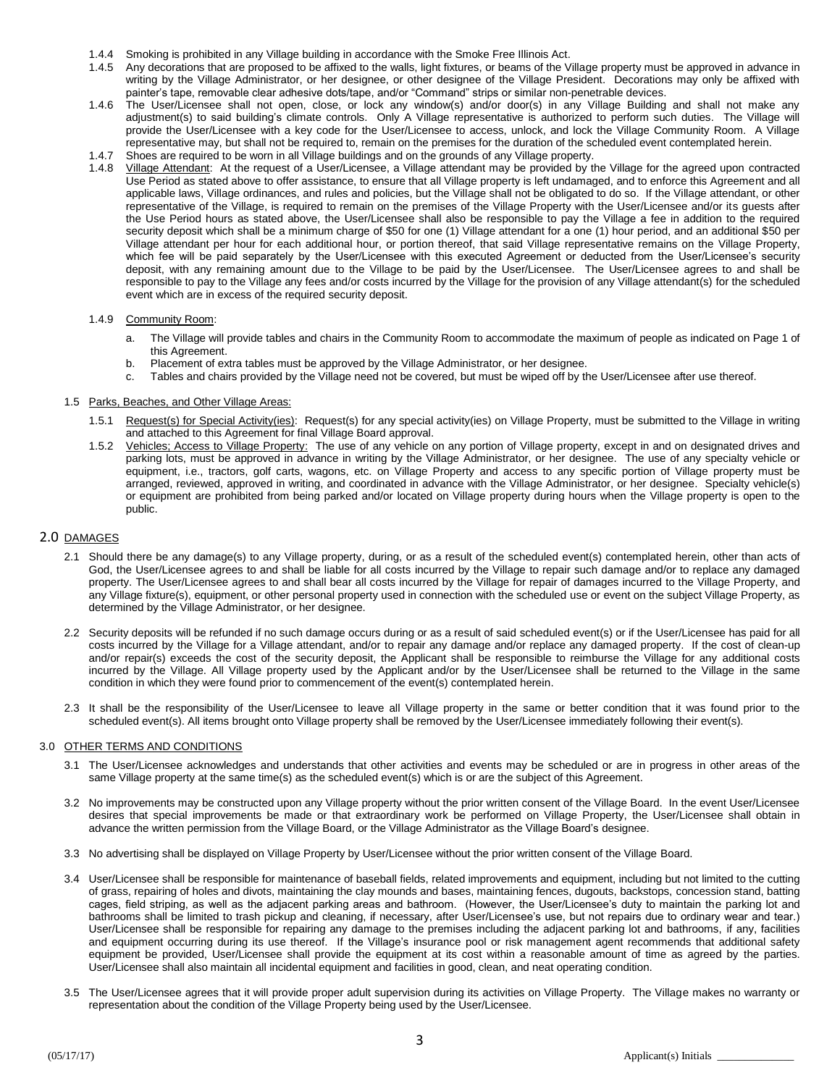- 1.4.4 Smoking is prohibited in any Village building in accordance with the Smoke Free Illinois Act.
- 1.4.5 Any decorations that are proposed to be affixed to the walls, light fixtures, or beams of the Village property must be approved in advance in writing by the Village Administrator, or her designee, or other designee of the Village President. Decorations may only be affixed with painter's tape, removable clear adhesive dots/tape, and/or "Command" strips or similar non-penetrable devices.
- 1.4.6 The User/Licensee shall not open, close, or lock any window(s) and/or door(s) in any Village Building and shall not make any adjustment(s) to said building's climate controls. Only A Village representative is authorized to perform such duties. The Village will provide the User/Licensee with a key code for the User/Licensee to access, unlock, and lock the Village Community Room. A Village representative may, but shall not be required to, remain on the premises for the duration of the scheduled event contemplated herein.
- 1.4.7 Shoes are required to be worn in all Village buildings and on the grounds of any Village property.<br>1.4.8 Village Attendant: At the request of a User/Licensee a Village attendant may be provided by the
- 1.4.8 Village Attendant: At the request of a User/Licensee, a Village attendant may be provided by the Village for the agreed upon contracted Use Period as stated above to offer assistance, to ensure that all Village property is left undamaged, and to enforce this Agreement and all applicable laws, Village ordinances, and rules and policies, but the Village shall not be obligated to do so. If the Village attendant, or other representative of the Village, is required to remain on the premises of the Village Property with the User/Licensee and/or its guests after the Use Period hours as stated above, the User/Licensee shall also be responsible to pay the Village a fee in addition to the required security deposit which shall be a minimum charge of \$50 for one (1) Village attendant for a one (1) hour period, and an additional \$50 per Village attendant per hour for each additional hour, or portion thereof, that said Village representative remains on the Village Property, which fee will be paid separately by the User/Licensee with this executed Agreement or deducted from the User/Licensee's security deposit, with any remaining amount due to the Village to be paid by the User/Licensee. The User/Licensee agrees to and shall be responsible to pay to the Village any fees and/or costs incurred by the Village for the provision of any Village attendant(s) for the scheduled event which are in excess of the required security deposit.

#### 1.4.9 Community Room:

- a. The Village will provide tables and chairs in the Community Room to accommodate the maximum of people as indicated on Page 1 of this Agreement.
- b. Placement of extra tables must be approved by the Village Administrator, or her designee.
- c. Tables and chairs provided by the Village need not be covered, but must be wiped off by the User/Licensee after use thereof.

#### 1.5 Parks, Beaches, and Other Village Areas:

- 1.5.1 Request(s) for Special Activity(ies): Request(s) for any special activity(ies) on Village Property, must be submitted to the Village in writing and attached to this Agreement for final Village Board approval.
- 1.5.2 Vehicles; Access to Village Property: The use of any vehicle on any portion of Village property, except in and on designated drives and parking lots, must be approved in advance in writing by the Village Administrator, or her designee. The use of any specialty vehicle or equipment, i.e., tractors, golf carts, wagons, etc. on Village Property and access to any specific portion of Village property must be arranged, reviewed, approved in writing, and coordinated in advance with the Village Administrator, or her designee. Specialty vehicle(s) or equipment are prohibited from being parked and/or located on Village property during hours when the Village property is open to the public.

## 2.0 DAMAGES

- 2.1 Should there be any damage(s) to any Village property, during, or as a result of the scheduled event(s) contemplated herein, other than acts of God, the User/Licensee agrees to and shall be liable for all costs incurred by the Village to repair such damage and/or to replace any damaged property. The User/Licensee agrees to and shall bear all costs incurred by the Village for repair of damages incurred to the Village Property, and any Village fixture(s), equipment, or other personal property used in connection with the scheduled use or event on the subject Village Property, as determined by the Village Administrator, or her designee.
- 2.2 Security deposits will be refunded if no such damage occurs during or as a result of said scheduled event(s) or if the User/Licensee has paid for all costs incurred by the Village for a Village attendant, and/or to repair any damage and/or replace any damaged property. If the cost of clean-up and/or repair(s) exceeds the cost of the security deposit, the Applicant shall be responsible to reimburse the Village for any additional costs incurred by the Village. All Village property used by the Applicant and/or by the User/Licensee shall be returned to the Village in the same condition in which they were found prior to commencement of the event(s) contemplated herein.
- 2.3 It shall be the responsibility of the User/Licensee to leave all Village property in the same or better condition that it was found prior to the scheduled event(s). All items brought onto Village property shall be removed by the User/Licensee immediately following their event(s).

#### 3.0 OTHER TERMS AND CONDITIONS

- 3.1 The User/Licensee acknowledges and understands that other activities and events may be scheduled or are in progress in other areas of the same Village property at the same time(s) as the scheduled event(s) which is or are the subject of this Agreement.
- 3.2 No improvements may be constructed upon any Village property without the prior written consent of the Village Board. In the event User/Licensee desires that special improvements be made or that extraordinary work be performed on Village Property, the User/Licensee shall obtain in advance the written permission from the Village Board, or the Village Administrator as the Village Board's designee.
- 3.3 No advertising shall be displayed on Village Property by User/Licensee without the prior written consent of the Village Board.
- 3.4 User/Licensee shall be responsible for maintenance of baseball fields, related improvements and equipment, including but not limited to the cutting of grass, repairing of holes and divots, maintaining the clay mounds and bases, maintaining fences, dugouts, backstops, concession stand, batting cages, field striping, as well as the adjacent parking areas and bathroom. (However, the User/Licensee's duty to maintain the parking lot and bathrooms shall be limited to trash pickup and cleaning, if necessary, after User/Licensee's use, but not repairs due to ordinary wear and tear.) User/Licensee shall be responsible for repairing any damage to the premises including the adjacent parking lot and bathrooms, if any, facilities and equipment occurring during its use thereof. If the Village's insurance pool or risk management agent recommends that additional safety equipment be provided, User/Licensee shall provide the equipment at its cost within a reasonable amount of time as agreed by the parties. User/Licensee shall also maintain all incidental equipment and facilities in good, clean, and neat operating condition.
- 3.5 The User/Licensee agrees that it will provide proper adult supervision during its activities on Village Property. The Village makes no warranty or representation about the condition of the Village Property being used by the User/Licensee.